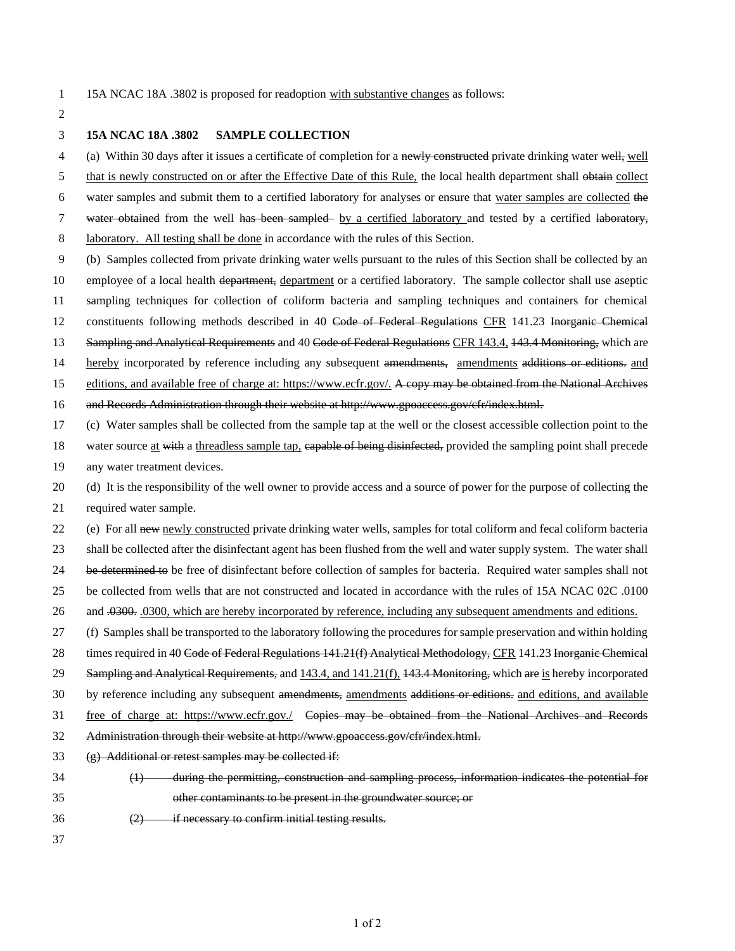- 
- 15A NCAC 18A .3802 is proposed for readoption with substantive changes as follows:

## **15A NCAC 18A .3802 SAMPLE COLLECTION**

4 (a) Within 30 days after it issues a certificate of completion for a newly constructed private drinking water well, well

5 that is newly constructed on or after the Effective Date of this Rule, the local health department shall obtain collect

- water samples and submit them to a certified laboratory for analyses or ensure that water samples are collected the
- 7 water obtained from the well has been sampled by a certified laboratory and tested by a certified laboratory,
- laboratory. All testing shall be done in accordance with the rules of this Section.
- (b) Samples collected from private drinking water wells pursuant to the rules of this Section shall be collected by an 10 employee of a local health department, department or a certified laboratory. The sample collector shall use aseptic sampling techniques for collection of coliform bacteria and sampling techniques and containers for chemical 12 constituents following methods described in 40 Code of Federal Regulations CFR 141.23 Inorganic Chemical 13 Sampling and Analytical Requirements and 40 Code of Federal Regulations CFR 143.4, 143.4 Monitoring, which are
- 14 hereby incorporated by reference including any subsequent amendments, amendments additions or editions. and
- 15 editions, and available free of charge at: https://www.ecfr.gov/. A copy may be obtained from the National Archives
- and Records Administration through their website at http://www.gpoaccess.gov/cfr/index.html.
- (c) Water samples shall be collected from the sample tap at the well or the closest accessible collection point to the
- 18 water source at with a threadless sample tap, capable of being disinfected, provided the sampling point shall precede any water treatment devices.
- (d) It is the responsibility of the well owner to provide access and a source of power for the purpose of collecting the
- required water sample.
- 22 (e) For all new newly constructed private drinking water wells, samples for total coliform and fecal coliform bacteria

shall be collected after the disinfectant agent has been flushed from the well and water supply system. The water shall

- be determined to be free of disinfectant before collection of samples for bacteria. Required water samples shall not
- be collected from wells that are not constructed and located in accordance with the rules of 15A NCAC 02C .0100
- 26 and .0300, .0300, which are hereby incorporated by reference, including any subsequent amendments and editions.
- (f) Samples shall be transported to the laboratory following the procedures for sample preservation and within holding
- 28 times required in 40 Code of Federal Regulations 141.21(f) Analytical Methodology, CFR 141.23 Inorganic Chemical
- 29 Sampling and Analytical Requirements, and 143.4, and 141.21(f), 143.4 Monitoring, which are is hereby incorporated
- 30 by reference including any subsequent amendments, amendments additions or editions, and editions, and available
- free of charge at: https://www.ecfr.gov./ Copies may be obtained from the National Archives and Records
- Administration through their website at http://www.gpoaccess.gov/cfr/index.html.
- (g) Additional or retest samples may be collected if:
- (1) during the permitting, construction and sampling process, information indicates the potential for other contaminants to be present in the groundwater source; or
- 
- (2) if necessary to confirm initial testing results.
-